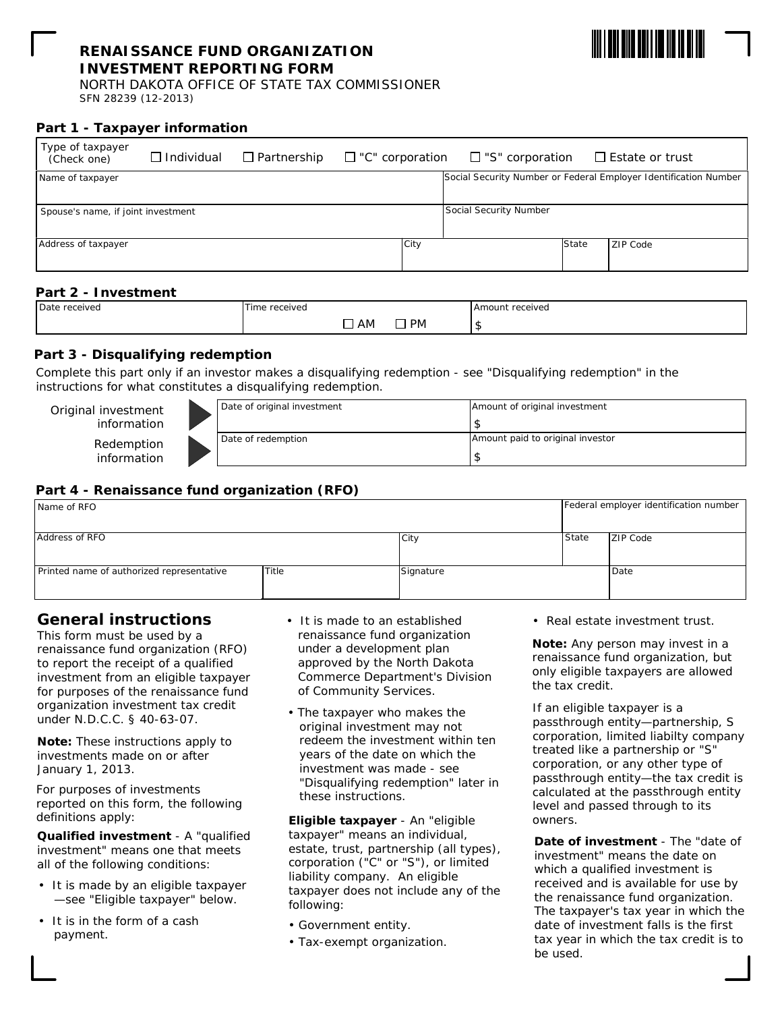### **RENAISSANCE FUND ORGANIZATION INVESTMENT REPORTING FORM**



NORTH DAKOTA OFFICE OF STATE TAX COMMISSIONER SFN 28239 (12-2013)

### **Part 1 - Taxpayer information**

| Type of taxpayer<br>(Check one)    | $\Box$ Individual | $\Box$ Partnership | $\Box$ "C" corporation |                        | $\Box$ "S" corporation |       | $\Box$ Estate or trust                                           |
|------------------------------------|-------------------|--------------------|------------------------|------------------------|------------------------|-------|------------------------------------------------------------------|
| Name of taxpayer                   |                   |                    |                        |                        |                        |       | Social Security Number or Federal Employer Identification Number |
|                                    |                   |                    |                        |                        |                        |       |                                                                  |
| Spouse's name, if joint investment |                   |                    |                        | Social Security Number |                        |       |                                                                  |
|                                    |                   |                    |                        |                        |                        |       |                                                                  |
| Address of taxpayer                |                   |                    |                        | City                   |                        | State | ZIP Code                                                         |
|                                    |                   |                    |                        |                        |                        |       |                                                                  |
|                                    |                   |                    |                        |                        |                        |       |                                                                  |

### **Part 2 - Investment**

| Date received | <sup>6</sup> received<br>$\mathsf{Im}\alpha$<br>. . |           | Amount received |
|---------------|-----------------------------------------------------|-----------|-----------------|
|               | AM                                                  | <b>PM</b> |                 |

### **Part 3 - Disqualifying redemption**

Complete this part only if an investor makes a disqualifying redemption - see "Disqualifying redemption" in the instructions for what constitutes a disqualifying redemption.

| Original investment<br>information | Date of original investment | Amount of original investment    |
|------------------------------------|-----------------------------|----------------------------------|
| Redemption<br>information          | Date of redemption          | Amount paid to original investor |

### **Part 4 - Renaissance fund organization (RFO)**

| Name of RFO                               |       |           |                 | Federal employer identification number |  |
|-------------------------------------------|-------|-----------|-----------------|----------------------------------------|--|
|                                           |       |           |                 |                                        |  |
| Address of RFO                            | City  | State     | <b>ZIP Code</b> |                                        |  |
|                                           |       |           |                 |                                        |  |
|                                           |       |           |                 |                                        |  |
| Printed name of authorized representative | Title | Signature |                 | Date                                   |  |
|                                           |       |           |                 |                                        |  |
|                                           |       |           |                 |                                        |  |

# **General instructions**

This form must be used by a renaissance fund organization (RFO) to report the receipt of a qualified investment from an eligible taxpayer for purposes of the renaissance fund organization investment tax credit under N.D.C.C. § 40-63-07.

*Note: These instructions apply to investments made on or after January 1, 2013.*

For purposes of investments reported on this form, the following definitions apply:

**Qualified investment** - A "qualified investment" means one that meets all of the following conditions:

- It is made by an eligible taxpayer —see "Eligible taxpayer" below.
- It is in the form of a cash payment.
- It is made to an established renaissance fund organization under a development plan approved by the North Dakota Commerce Department's Division of Community Services.
- The taxpayer who makes the original investment may not redeem the investment within ten years of the date on which the investment was made - see "Disqualifying redemption" later in these instructions.

**Eligible taxpayer** - An "eligible taxpayer" means an individual, estate, trust, partnership (all types), corporation ("C" or "S"), or limited liability company. An eligible taxpayer does not include any of the following:

- Government entity.
- Tax-exempt organization.

• Real estate investment trust.

*Note: Any person may invest in a renaissance fund organization, but only eligible taxpayers are allowed the tax credit.*

If an eligible taxpayer is a passthrough entity—partnership, S corporation, limited liabilty company treated like a partnership or "S" corporation, or any other type of passthrough entity—the tax credit is calculated at the passthrough entity level and passed through to its owners.

**Date of investment** - The "date of investment" means the date on which a qualified investment is received and is available for use by the renaissance fund organization. The taxpayer's tax year in which the date of investment falls is the first tax year in which the tax credit is to be used.